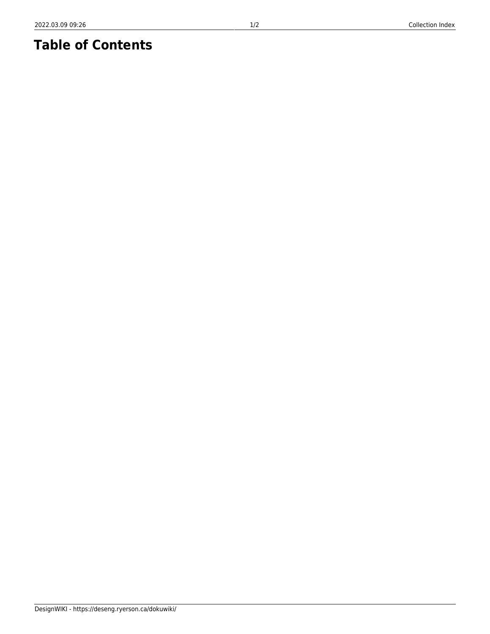# **Table of Contents**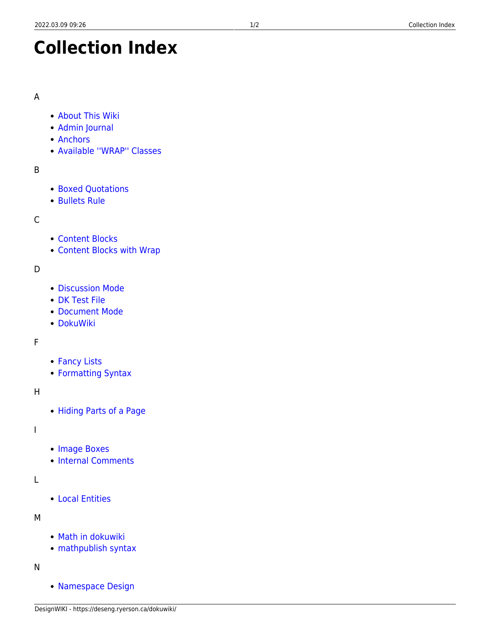# **Collection Index**

#### A

- [About This Wiki](https://deseng.ryerson.ca/dokuwiki/wiki:start)
- [Admin Journal](https://deseng.ryerson.ca/dokuwiki/wiki:admin_journal)
- [Anchors](https://deseng.ryerson.ca/dokuwiki/wiki:anchor)
- [Available ''WRAP'' Classes](https://deseng.ryerson.ca/dokuwiki/wiki:wrap_plugin_examples)

# B

- [Boxed Quotations](https://deseng.ryerson.ca/dokuwiki/wiki:boxed_quotations)
- [Bullets Rule](https://deseng.ryerson.ca/dokuwiki/wiki:bullets_rule)

# C

- [Content Blocks](https://deseng.ryerson.ca/dokuwiki/wiki:content_blocks)
- [Content Blocks with Wrap](https://deseng.ryerson.ca/dokuwiki/wiki:content_blocks_with_wrap)

# D

- [Discussion Mode](https://deseng.ryerson.ca/dokuwiki/wiki:discussion_mode)
- [DK Test File](https://deseng.ryerson.ca/dokuwiki/wiki:dk_test_file)
- [Document Mode](https://deseng.ryerson.ca/dokuwiki/wiki:document_mode)
- [DokuWiki](https://deseng.ryerson.ca/dokuwiki/wiki:dokuwiki)

# F

- [Fancy Lists](https://deseng.ryerson.ca/dokuwiki/wiki:fancy_lists)
- [Formatting Syntax](https://deseng.ryerson.ca/dokuwiki/wiki:syntax)

# H

[Hiding Parts of a Page](https://deseng.ryerson.ca/dokuwiki/wiki:hiding_parts_of_a_page)

#### I

- [Image Boxes](https://deseng.ryerson.ca/dokuwiki/wiki:image_boxes)
- [Internal Comments](https://deseng.ryerson.ca/dokuwiki/wiki:internal_comments)

# L

[Local Entities](https://deseng.ryerson.ca/dokuwiki/wiki:local_entities)

#### M

- [Math in dokuwiki](https://deseng.ryerson.ca/dokuwiki/wiki:math_in_dokuwiki)
- [mathpublish syntax](https://deseng.ryerson.ca/dokuwiki/wiki:mathpublish_syntax)

# N

[Namespace Design](https://deseng.ryerson.ca/dokuwiki/wiki:namespace_design)